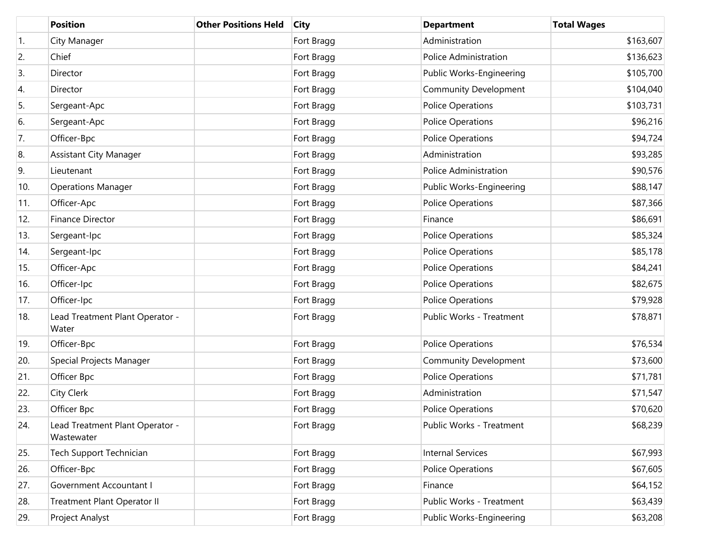|     | <b>Position</b>                               | <b>Other Positions Held</b> | <b>City</b> | <b>Department</b>            | <b>Total Wages</b> |
|-----|-----------------------------------------------|-----------------------------|-------------|------------------------------|--------------------|
| 1.  | City Manager                                  |                             | Fort Bragg  | Administration               | \$163,607          |
| 2.  | Chief                                         |                             | Fort Bragg  | Police Administration        | \$136,623          |
| 3.  | Director                                      |                             | Fort Bragg  | Public Works-Engineering     | \$105,700          |
| 4.  | Director                                      |                             | Fort Bragg  | <b>Community Development</b> | \$104,040          |
| 5.  | Sergeant-Apc                                  |                             | Fort Bragg  | <b>Police Operations</b>     | \$103,731          |
| 6.  | Sergeant-Apc                                  |                             | Fort Bragg  | <b>Police Operations</b>     | \$96,216           |
| 7.  | Officer-Bpc                                   |                             | Fort Bragg  | <b>Police Operations</b>     | \$94,724           |
| 8.  | <b>Assistant City Manager</b>                 |                             | Fort Bragg  | Administration               | \$93,285           |
| 9.  | Lieutenant                                    |                             | Fort Bragg  | Police Administration        | \$90,576           |
| 10. | <b>Operations Manager</b>                     |                             | Fort Bragg  | Public Works-Engineering     | \$88,147           |
| 11. | Officer-Apc                                   |                             | Fort Bragg  | <b>Police Operations</b>     | \$87,366           |
| 12. | <b>Finance Director</b>                       |                             | Fort Bragg  | Finance                      | \$86,691           |
| 13. | Sergeant-Ipc                                  |                             | Fort Bragg  | <b>Police Operations</b>     | \$85,324           |
| 14. | Sergeant-Ipc                                  |                             | Fort Bragg  | <b>Police Operations</b>     | \$85,178           |
| 15. | Officer-Apc                                   |                             | Fort Bragg  | <b>Police Operations</b>     | \$84,241           |
| 16. | Officer-Ipc                                   |                             | Fort Bragg  | <b>Police Operations</b>     | \$82,675           |
| 17. | Officer-Ipc                                   |                             | Fort Bragg  | <b>Police Operations</b>     | \$79,928           |
| 18. | Lead Treatment Plant Operator -<br>Water      |                             | Fort Bragg  | Public Works - Treatment     | \$78,871           |
| 19. | Officer-Bpc                                   |                             | Fort Bragg  | <b>Police Operations</b>     | \$76,534           |
| 20. | Special Projects Manager                      |                             | Fort Bragg  | <b>Community Development</b> | \$73,600           |
| 21. | Officer Bpc                                   |                             | Fort Bragg  | <b>Police Operations</b>     | \$71,781           |
| 22. | <b>City Clerk</b>                             |                             | Fort Bragg  | Administration               | \$71,547           |
| 23. | Officer Bpc                                   |                             | Fort Bragg  | <b>Police Operations</b>     | \$70,620           |
| 24. | Lead Treatment Plant Operator -<br>Wastewater |                             | Fort Bragg  | Public Works - Treatment     | \$68,239           |
| 25. | Tech Support Technician                       |                             | Fort Bragg  | <b>Internal Services</b>     | \$67,993           |
| 26. | Officer-Bpc                                   |                             | Fort Bragg  | Police Operations            | \$67,605           |
| 27. | Government Accountant I                       |                             | Fort Bragg  | Finance                      | \$64,152           |
| 28. | Treatment Plant Operator II                   |                             | Fort Bragg  | Public Works - Treatment     | \$63,439           |
| 29. | Project Analyst                               |                             | Fort Bragg  | Public Works-Engineering     | \$63,208           |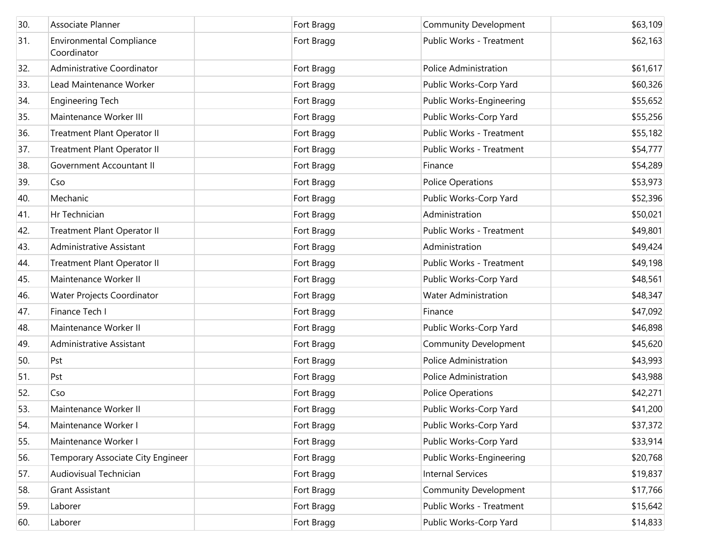| 30. | Associate Planner                              | Fort Bragg | <b>Community Development</b> | \$63,109 |
|-----|------------------------------------------------|------------|------------------------------|----------|
| 31. | <b>Environmental Compliance</b><br>Coordinator | Fort Bragg | Public Works - Treatment     | \$62,163 |
| 32. | Administrative Coordinator                     | Fort Bragg | Police Administration        | \$61,617 |
| 33. | Lead Maintenance Worker                        | Fort Bragg | Public Works-Corp Yard       | \$60,326 |
| 34. | <b>Engineering Tech</b>                        | Fort Bragg | Public Works-Engineering     | \$55,652 |
| 35. | Maintenance Worker III                         | Fort Bragg | Public Works-Corp Yard       | \$55,256 |
| 36. | Treatment Plant Operator II                    | Fort Bragg | Public Works - Treatment     | \$55,182 |
| 37. | Treatment Plant Operator II                    | Fort Bragg | Public Works - Treatment     | \$54,777 |
| 38. | Government Accountant II                       | Fort Bragg | Finance                      | \$54,289 |
| 39. | Cso                                            | Fort Bragg | <b>Police Operations</b>     | \$53,973 |
| 40. | Mechanic                                       | Fort Bragg | Public Works-Corp Yard       | \$52,396 |
| 41. | Hr Technician                                  | Fort Bragg | Administration               | \$50,021 |
| 42. | Treatment Plant Operator II                    | Fort Bragg | Public Works - Treatment     | \$49,801 |
| 43. | Administrative Assistant                       | Fort Bragg | Administration               | \$49,424 |
| 44. | Treatment Plant Operator II                    | Fort Bragg | Public Works - Treatment     | \$49,198 |
| 45. | Maintenance Worker II                          | Fort Bragg | Public Works-Corp Yard       | \$48,561 |
| 46. | Water Projects Coordinator                     | Fort Bragg | <b>Water Administration</b>  | \$48,347 |
| 47. | Finance Tech I                                 | Fort Bragg | Finance                      | \$47,092 |
| 48. | Maintenance Worker II                          | Fort Bragg | Public Works-Corp Yard       | \$46,898 |
| 49. | Administrative Assistant                       | Fort Bragg | <b>Community Development</b> | \$45,620 |
| 50. | Pst                                            | Fort Bragg | <b>Police Administration</b> | \$43,993 |
| 51. | Pst                                            | Fort Bragg | Police Administration        | \$43,988 |
| 52. | Cso                                            | Fort Bragg | Police Operations            | \$42,271 |
| 53. | Maintenance Worker II                          | Fort Bragg | Public Works-Corp Yard       | \$41,200 |
| 54. | Maintenance Worker I                           | Fort Bragg | Public Works-Corp Yard       | \$37,372 |
| 55. | Maintenance Worker I                           | Fort Bragg | Public Works-Corp Yard       | \$33,914 |
| 56. | Temporary Associate City Engineer              | Fort Bragg | Public Works-Engineering     | \$20,768 |
| 57. | Audiovisual Technician                         | Fort Bragg | <b>Internal Services</b>     | \$19,837 |
| 58. | <b>Grant Assistant</b>                         | Fort Bragg | Community Development        | \$17,766 |
| 59. | Laborer                                        | Fort Bragg | Public Works - Treatment     | \$15,642 |
| 60. | Laborer                                        | Fort Bragg | Public Works-Corp Yard       | \$14,833 |